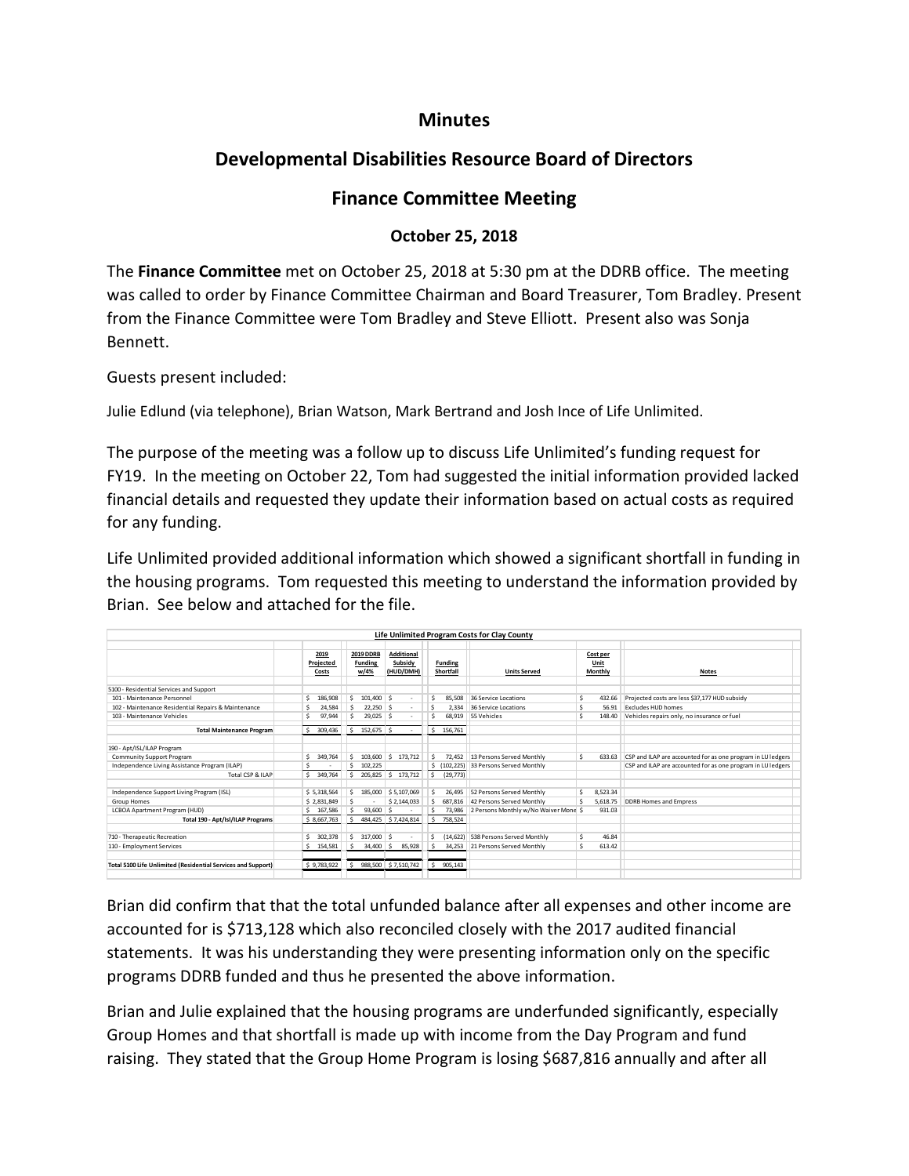## **Minutes**

## **Developmental Disabilities Resource Board of Directors**

## **Finance Committee Meeting**

## **October 25, 2018**

The **Finance Committee** met on October 25, 2018 at 5:30 pm at the DDRB office. The meeting was called to order by Finance Committee Chairman and Board Treasurer, Tom Bradley. Present from the Finance Committee were Tom Bradley and Steve Elliott. Present also was Sonja Bennett.

Guests present included:

Julie Edlund (via telephone), Brian Watson, Mark Bertrand and Josh Ince of Life Unlimited.

The purpose of the meeting was a follow up to discuss Life Unlimited's funding request for FY19. In the meeting on October 22, Tom had suggested the initial information provided lacked financial details and requested they update their information based on actual costs as required for any funding.

Life Unlimited provided additional information which showed a significant shortfall in funding in the housing programs. Tom requested this meeting to understand the information provided by Brian. See below and attached for the file.

|                                                              |               |                  |              |                              |    |                | Life Unlimited Program Costs for Clay County |   |          |                                                             |  |
|--------------------------------------------------------------|---------------|------------------|--------------|------------------------------|----|----------------|----------------------------------------------|---|----------|-------------------------------------------------------------|--|
|                                                              |               |                  |              |                              |    |                |                                              |   |          |                                                             |  |
|                                                              | 2019          | <b>2019 DDRB</b> |              | <b>Additional</b><br>Subsidy |    |                |                                              |   | Cost per |                                                             |  |
|                                                              | Projected     | <b>Funding</b>   |              |                              |    | <b>Funding</b> |                                              |   | Unit     |                                                             |  |
|                                                              | Costs         | w/4%             |              | (HUD/DMH)                    |    | Shortfall      | <b>Units Served</b>                          |   | Monthly  | <b>Notes</b>                                                |  |
| 5100 - Residential Services and Support                      |               |                  |              |                              |    |                |                                              |   |          |                                                             |  |
| 101 - Maintenance Personnel                                  | 186,908<br>Ś  | Ŝ                | 101,400 \$   |                              | Ŝ  | 85.508         | 36 Service Locations                         | Ś | 432.66   | Projected costs are less \$37,177 HUD subsidy               |  |
| 102 - Maintenance Residential Repairs & Maintenance          | 24.584<br>Ś   | Ŝ                | $22.250$ \$  |                              | Ś  | 2.334          | 36 Service Locations                         | Ś | 56.91    | Excludes HUD homes                                          |  |
| 103 - Maintenance Vehicles                                   | 97.944<br>Ś   | Ŝ                | $29.025$ \$  |                              | Ś  | 68.919         | 55 Vehicles                                  | Ś | 148.40   | Vehicles repairs only, no insurance or fuel                 |  |
|                                                              |               |                  |              |                              |    |                |                                              |   |          |                                                             |  |
| <b>Total Maintenance Program</b>                             | Š.<br>309.436 | Ŝ.               | 152.675 \$   |                              | Ŝ. | 156,761        |                                              |   |          |                                                             |  |
|                                                              |               |                  |              |                              |    |                |                                              |   |          |                                                             |  |
| 190 - Apt/ISL/ILAP Program                                   |               |                  |              |                              |    |                |                                              |   |          |                                                             |  |
| <b>Community Support Program</b>                             | 349.764<br>Ś. | 103.600<br>Ŝ     | Ŝ.           | 173,712                      | Ŝ  | 72.452         | 13 Persons Served Monthly                    | Ś | 633.63   | CSP and ILAP are accounted for as one program in LU ledgers |  |
| Independence Living Assistance Program (ILAP)                | Ś<br>$\sim$   | Ŝ<br>102,225     |              |                              |    | \$ (102, 225)  | 33 Persons Served Monthly                    |   |          | CSP and ILAP are accounted for as one program in LU ledgers |  |
| Total CSP & ILAP                                             | \$349.764     | 205.825<br>Ŝ     | s.           | 173,712                      | Ŝ. | (29, 773)      |                                              |   |          |                                                             |  |
|                                                              |               |                  |              |                              |    |                |                                              |   |          |                                                             |  |
| Independence Support Living Program (ISL)                    | \$5.318.564   |                  | 185,000      | \$5,107,069                  | Ś  | 26.495         | 52 Persons Served Monthly                    | Ś | 8.523.34 |                                                             |  |
| Group Homes                                                  | \$2.831.849   |                  |              | \$2,144,033                  | Ŝ. | 687.816        | 42 Persons Served Monthly                    | Ś | 5.618.75 | <b>DDRB Homes and Empress</b>                               |  |
| LCBOA Apartment Program (HUD)                                | 167,586<br>Ŝ. |                  | 93,600<br>-S |                              | Ŝ. | 73,986         | 2 Persons Monthly w/No Waiver Mone \$        |   | 931.03   |                                                             |  |
| Total 190 - Apt/Isl/ILAP Programs                            | \$8,667,763   | s.               |              | 484,425 \$7,424,814          | Ŝ. | 758,524        |                                              |   |          |                                                             |  |
|                                                              |               |                  |              |                              |    |                |                                              |   |          |                                                             |  |
| 710 - Therapeutic Recreation                                 | 302.378<br>Ś  | Ŝ                | 317,000 \$   |                              | Ś  | (14.622)       | 538 Persons Served Monthly                   | Ś | 46.84    |                                                             |  |
| 110 - Employment Services                                    | 154,581<br>Ŝ  |                  | $34,400$ \$  | 85,928                       | ŝ  | 34,253         | 21 Persons Served Monthly                    | Ś | 613.42   |                                                             |  |
|                                                              |               |                  |              |                              |    |                |                                              |   |          |                                                             |  |
| Total 5100 Life Unlimited (Residential Services and Support) | \$9,783,922   | -Ŝ               |              | 988,500 \$7,510,742          |    | \$905,143      |                                              |   |          |                                                             |  |
|                                                              |               |                  |              |                              |    |                |                                              |   |          |                                                             |  |

Brian did confirm that that the total unfunded balance after all expenses and other income are accounted for is \$713,128 which also reconciled closely with the 2017 audited financial statements. It was his understanding they were presenting information only on the specific programs DDRB funded and thus he presented the above information.

Brian and Julie explained that the housing programs are underfunded significantly, especially Group Homes and that shortfall is made up with income from the Day Program and fund raising. They stated that the Group Home Program is losing \$687,816 annually and after all